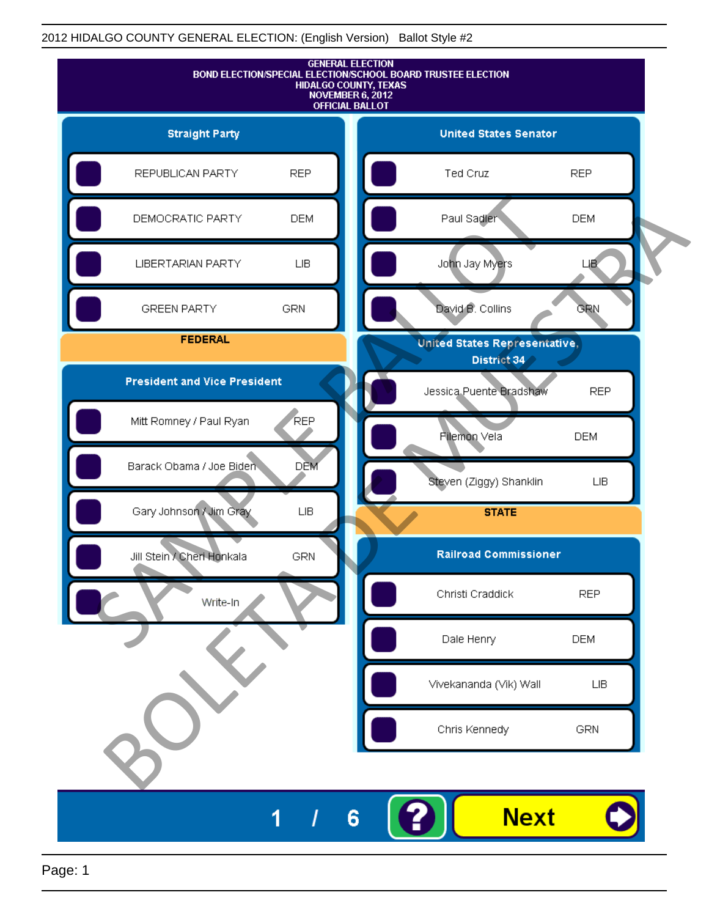

Page: 1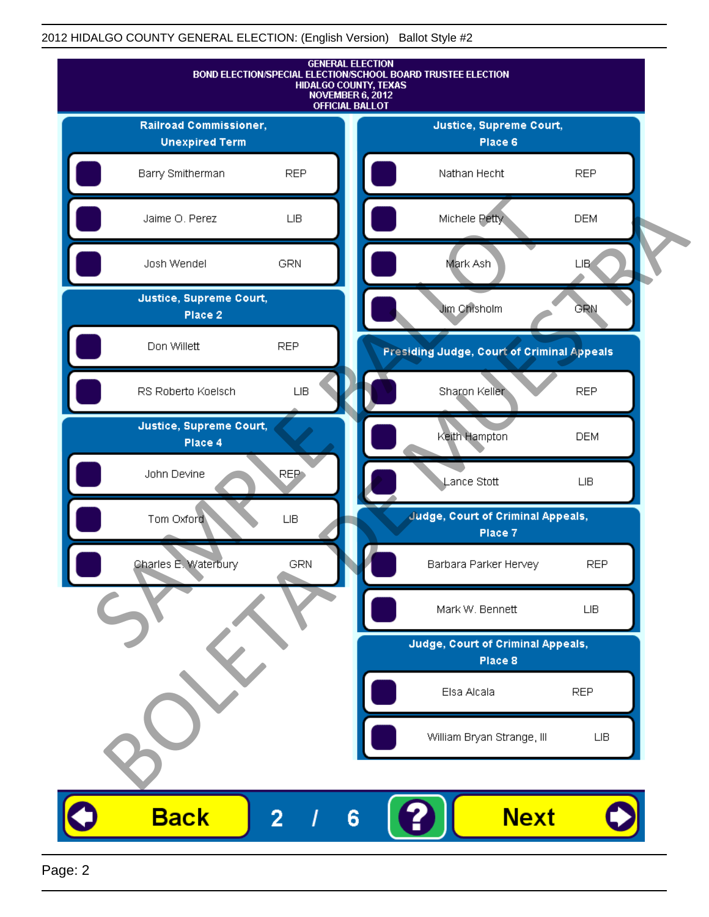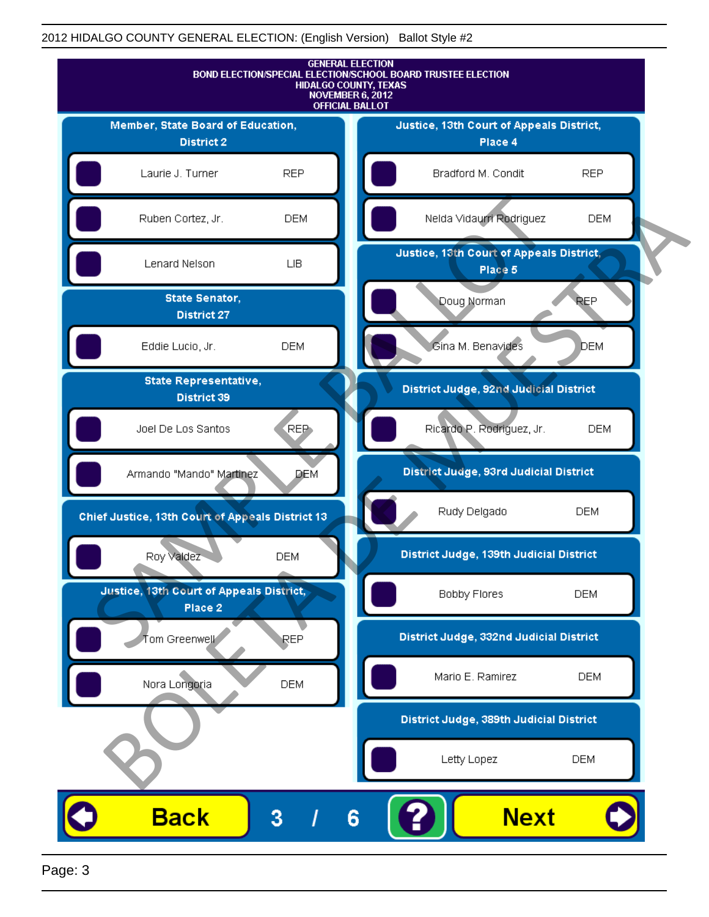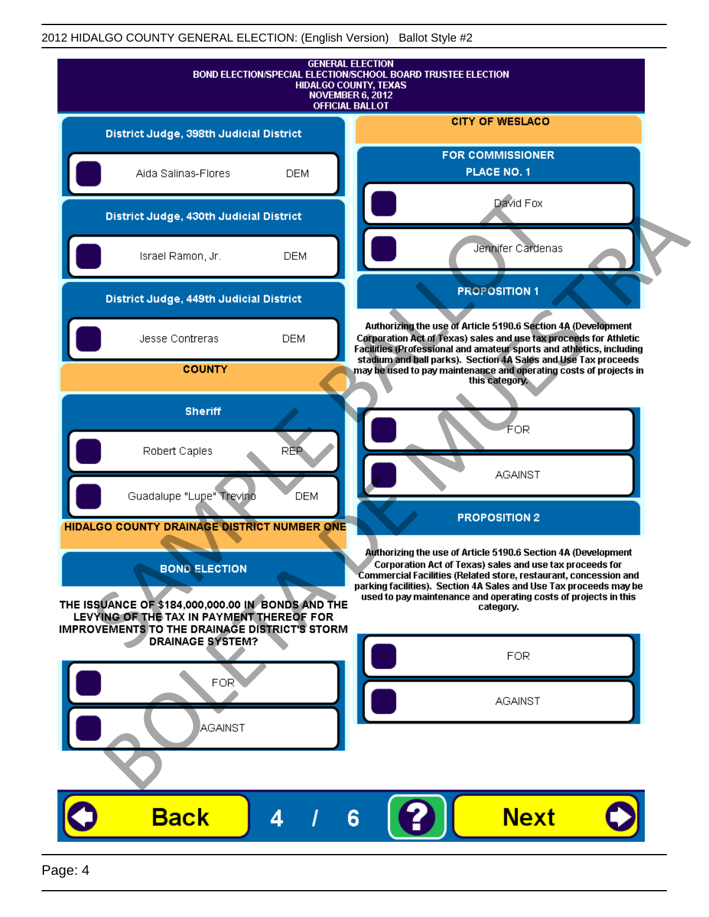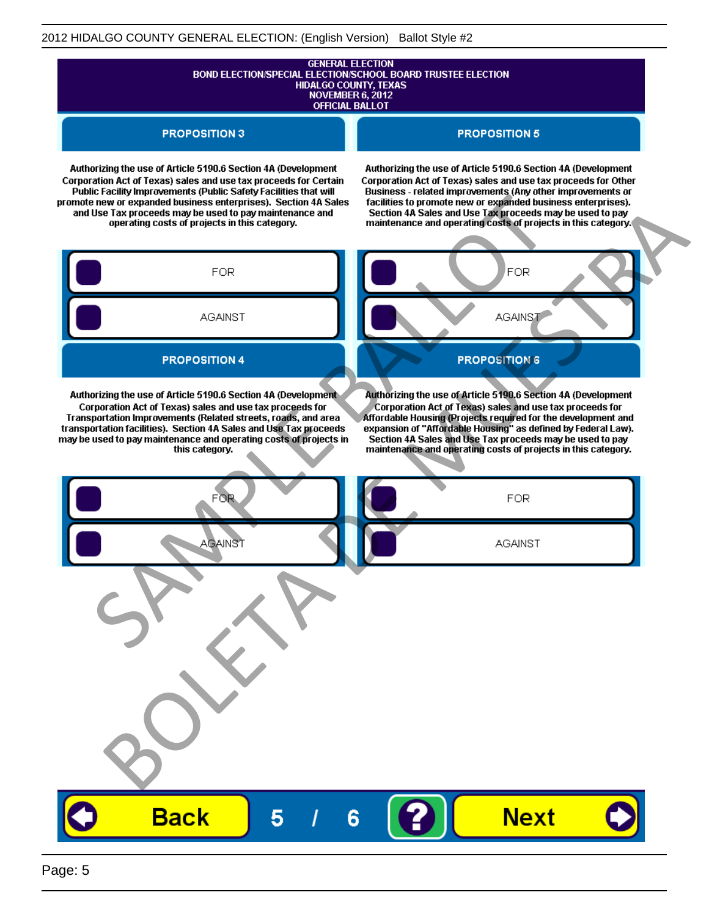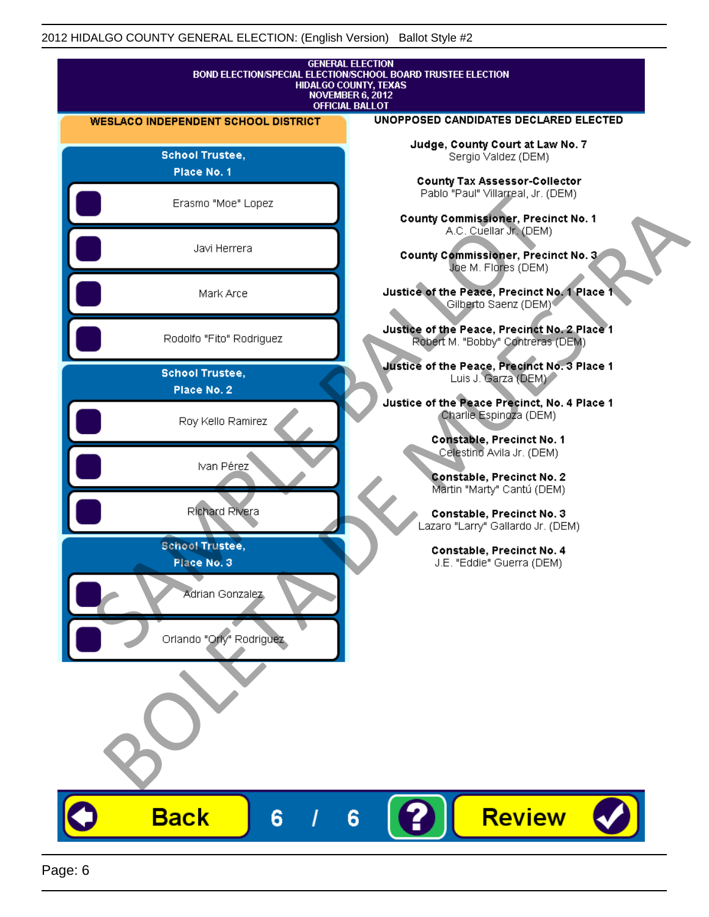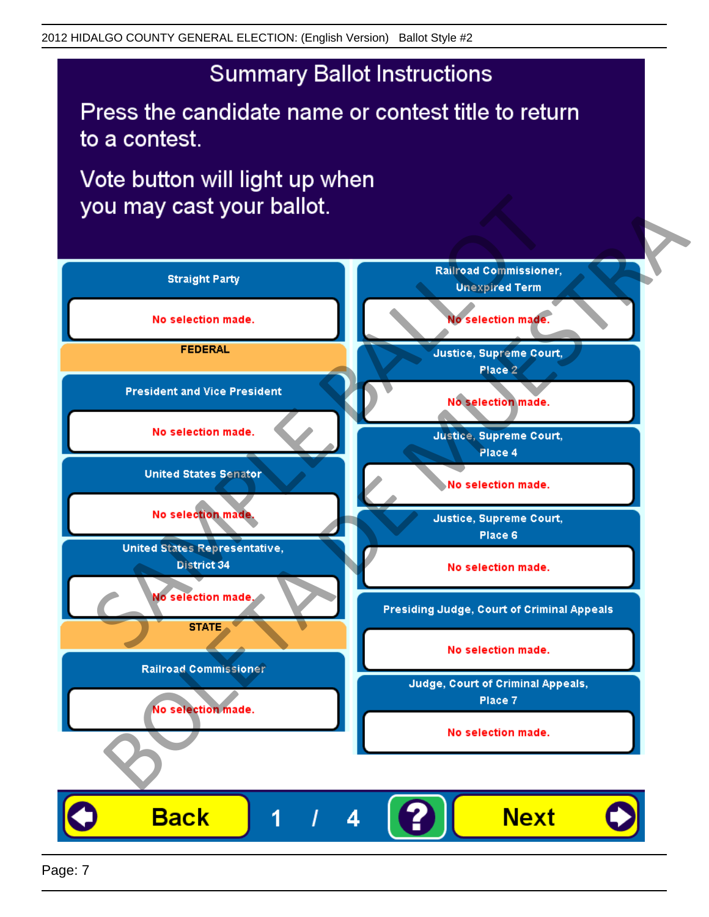Press the candidate name or contest title to return to a contest.

Vote button will light up when

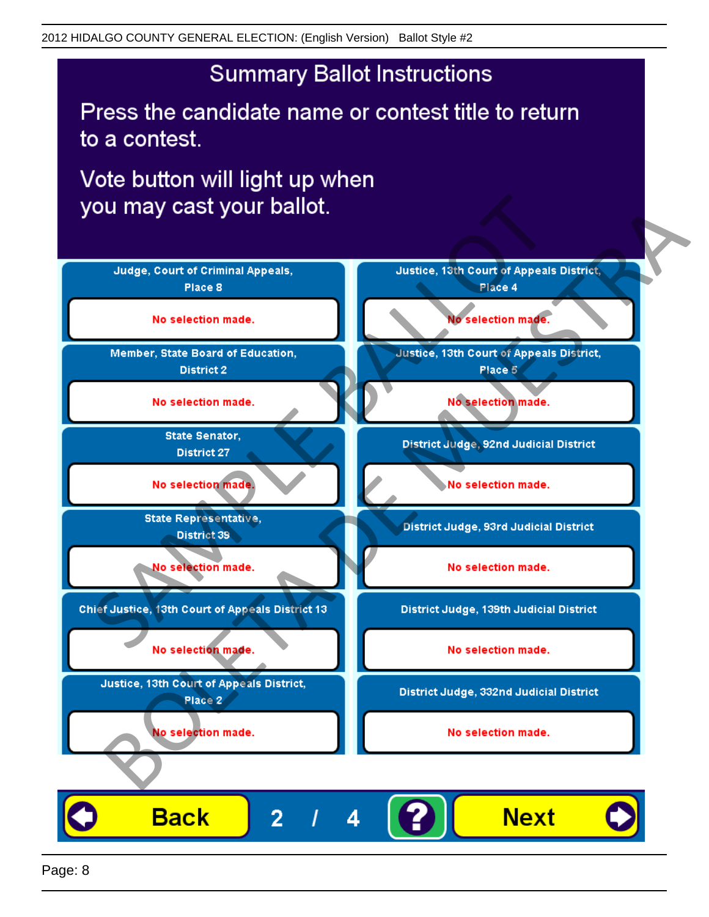Press the candidate name or contest title to return to a contest.

Vote button will light up when

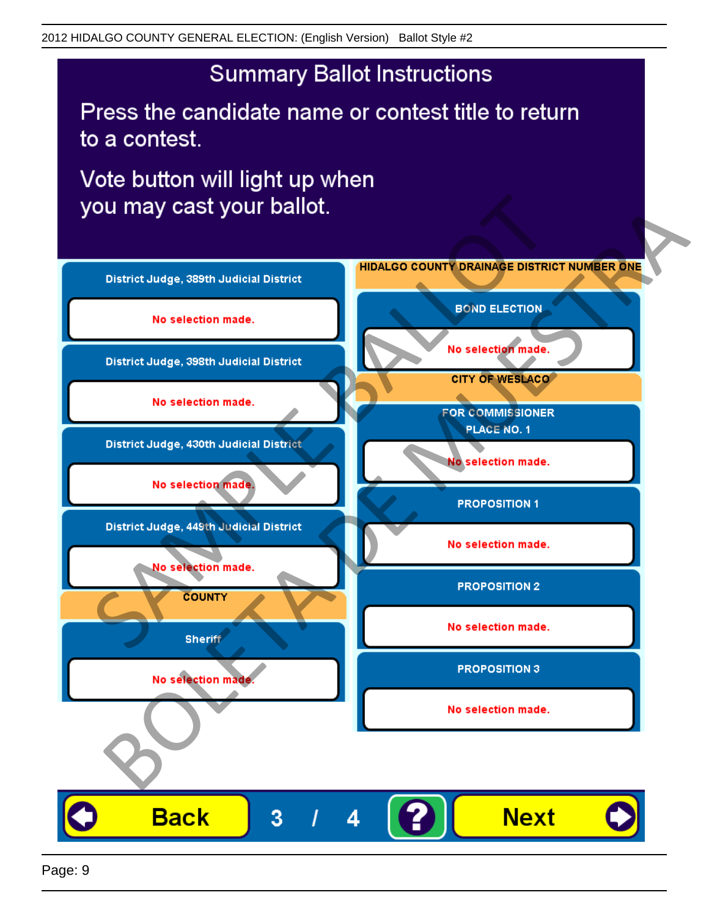Press the candidate name or contest title to return to a contest.